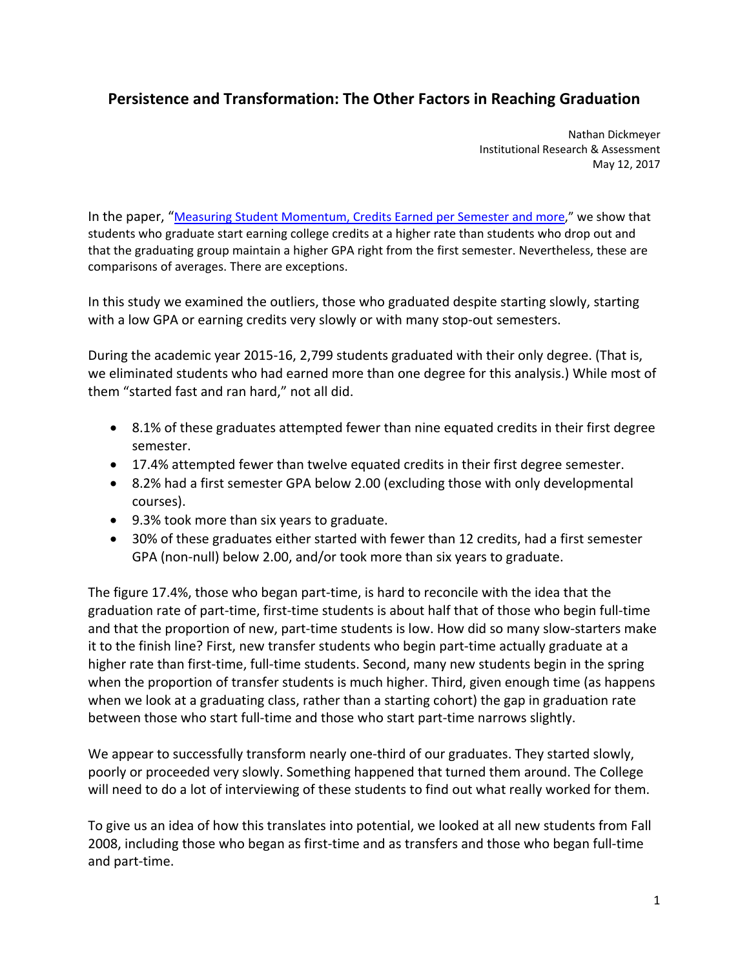## **Persistence and Transformation: The Other Factors in Reaching Graduation**

 Nathan Dickmeyer Institutional Research & Assessment May 12, 2017

In the paper, "Measuring Student Momentum, Credits Earned per Semester and more," we show that students who graduate start earning college credits at a higher rate than students who drop out and that the graduating group maintain a higher GPA right from the first semester. Nevertheless, these are comparisons of averages. There are exceptions.

 In this study we examined the outliers, those who graduated despite starting slowly, starting with a low GPA or earning credits very slowly or with many stop‐out semesters.

 During the academic year 2015‐16, 2,799 students graduated with their only degree. (That is, we eliminated students who had earned more than one degree for this analysis.) While most of them "started fast and ran hard," not all did.

- 8.1% of these graduates attempted fewer than nine equated credits in their first degree semester.
- 17.4% attempted fewer than twelve equated credits in their first degree semester.
- 8.2% had a first semester GPA below 2.00 (excluding those with only developmental courses).
- 9.3% took more than six years to graduate.
- 30% of these graduates either started with fewer than 12 credits, had a first semester GPA (non‐null) below 2.00, and/or took more than six years to graduate.

 The figure 17.4%, those who began part‐time, is hard to reconcile with the idea that the graduation rate of part‐time, first‐time students is about half that of those who begin full‐time and that the proportion of new, part‐time students is low. How did so many slow‐starters make it to the finish line? First, new transfer students who begin part‐time actually graduate at a higher rate than first‐time, full‐time students. Second, many new students begin in the spring when the proportion of transfer students is much higher. Third, given enough time (as happens when we look at a graduating class, rather than a starting cohort) the gap in graduation rate between those who start full‐time and those who start part‐time narrows slightly.

 We appear to successfully transform nearly one‐third of our graduates. They started slowly, poorly or proceeded very slowly. Something happened that turned them around. The College will need to do a lot of interviewing of these students to find out what really worked for them.

 To give us an idea of how this translates into potential, we looked at all new students from Fall 2008, including those who began as first‐time and as transfers and those who began full‐time and part‐time.